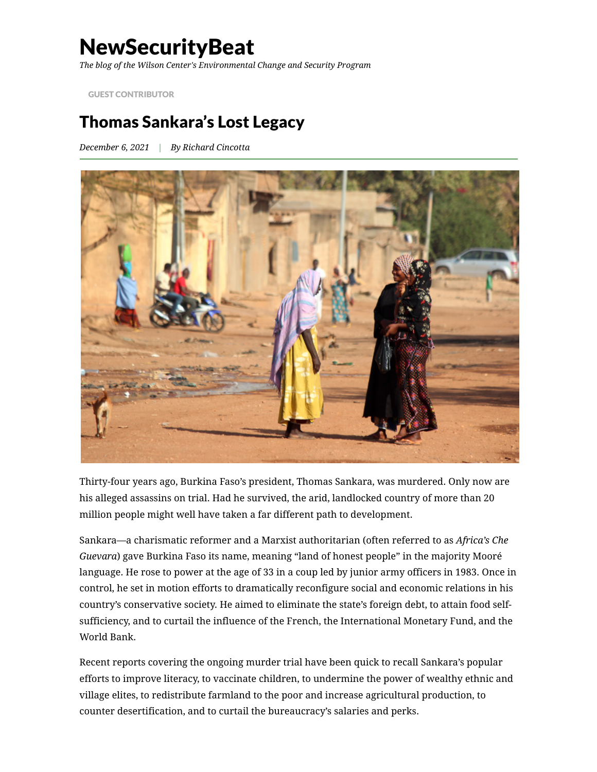# **NewSecurityBeat**

*The blog of the Wilson Center's Environmental Change and Security Program*

GUEST [CONTRIBUTOR](https://www.newsecuritybeat.org/category/blog-columns/guest-contributor/)

## Thomas Sankara's Lost Legacy

*December 6, 2021 | By Richard [Cincotta](https://www.newsecuritybeat.org/author/rcincotta/)*



Thirty-four years ago, Burkina Faso's president, Thomas Sankara, was murdered. Only now are his alleged assassins on trial. Had he survived, the arid, landlocked country of more than 20 million people might well have taken a far different path to development.

Sankara—a charismatic reformer and a Marxist authoritarian (often referred to as *Africa's Che Guevara*) gave Burkina Faso its name, meaning "land of honest people" in the majority Mooré language. He rose to power at the age of 33 in a coup led by junior army officers in 1983. Once in control, he set in motion efforts to dramatically reconfigure social and economic relations in his country's conservative society. He aimed to eliminate the state's foreign debt, to attain food selfsufficiency, and to curtail the influence of the French, the International Monetary Fund, and the World Bank.

Recent reports covering [the ongoing murder trial](https://www.bbc.com/news/world-africa-58842427) have been quick to recall Sankara's popular efforts to improve literacy, to vaccinate children, to undermine the power of wealthy ethnic and village elites, to redistribute farmland to the poor and increase agricultural production, to counter desertification, and to curtail the bureaucracy's salaries and perks.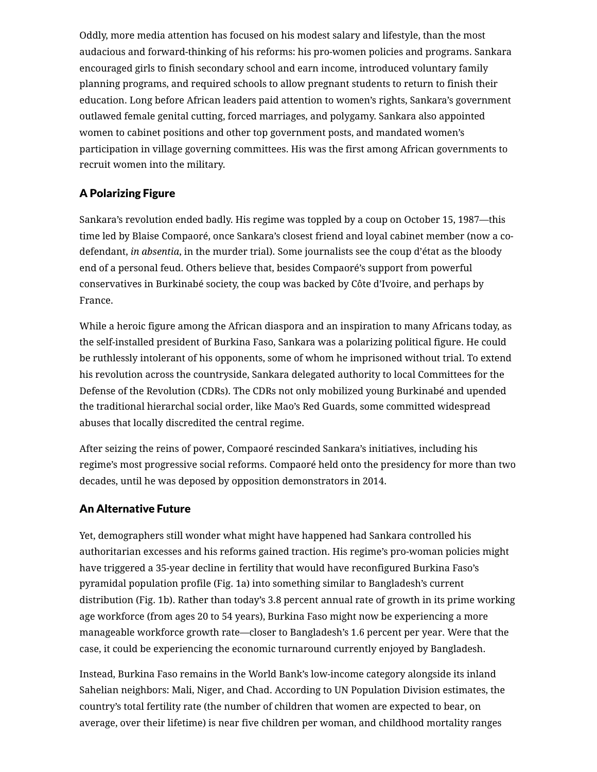Oddly, more media attention has focused on his modest salary and lifestyle, than the most [audacious and forward-thinking of his reforms: his pro-women policies and programs. Sankara](https://libcom.org/files/thomas-sankara-womens-liberation-and-the-african-freedom-struggle.pdf) encouraged girls to finish secondary school and earn income, introduced voluntary family planning programs, and required schools to allow pregnant students to return to finish their education. Long before African leaders paid attention to women's rights, Sankara's government outlawed female genital cutting, forced marriages, and polygamy. Sankara also appointed women to cabinet positions and other top government posts, and mandated women's participation in village governing committees. His was the first among African governments to recruit women into the military.

### A Polarizing Figure

Sankara's revolution ended badly. His regime was toppled by a coup on October 15, 1987—this time led by Blaise Compaoré, once Sankara's closest friend and loyal cabinet member (now a codefendant, *in absentia*, in the murder trial). Some journalists see the coup d'état as the bloody end of a personal feud. Others believe that, besides Compaoré's support from powerful conservatives in Burkinabé society, the coup was backed by Côte d'Ivoire, and perhaps by France.

While a heroic figure among the African diaspora and an inspiration to many Africans today, as the self-installed president of Burkina Faso, [Sankara was a polarizing political figure.](https://roape.net/site/wp-content/uploads/2020/10/Volume-40-2012-Issue-137.pdf) He could be ruthlessly [intolerant of his opponents,](https://apnews.com/article/b7aae6fd45899f19c7eec69c642d1d99) some of whom he imprisoned without trial. To extend his revolution across the countryside, Sankara delegated authority to local Committees for the Defense of the Revolution (CDRs). [The CDRs not only mobilized young Burkinabé](https://www.jstor.org/stable/160892) and upended the traditional hierarchal social order, like Mao's Red Guards, some committed widespread abuses that locally discredited the central regime.

After seizing the reins of power, Compaoré rescinded Sankara's initiatives, including his regime's most progressive social reforms. Compaoré held onto the presidency for more than two decades, until he was deposed by opposition demonstrators in 2014.

#### An Alternative Future

Yet, demographers still wonder what might have happened had Sankara controlled his authoritarian excesses and his reforms gained traction. His regime's pro-woman policies might have triggered a 35-year decline in fertility that would have reconfigured Burkina Faso's pyramidal population profile (Fig. 1a) into something similar to Bangladesh's current distribution (Fig. 1b). Rather than today's 3.8 percent annual rate of growth in its prime working age workforce (from ages 20 to 54 years), Burkina Faso might now be experiencing a more manageable workforce growth rate—closer to Bangladesh's 1.6 percent per year. Were that the case, it could be experiencing the [economic turnaround currently enjoyed by Bangladesh](https://www.newsecuritybeat.org/2018/10/bangladesh-pakistan-demographic-twins-grow/).

Instead, Burkina Faso remains in the World Bank's low-income category alongside its inland [Sahelian neighbors: Mali, Niger, and Chad. According to UN Population Division estimates, th](https://www.atlanticcouncil.org/in-depth-research-reports/report/what-future-for-the-western-sahel/)e country's total fertility rate (the number of children that women are expected to bear, on average, over their lifetime) is near five children per woman, and childhood mortality ranges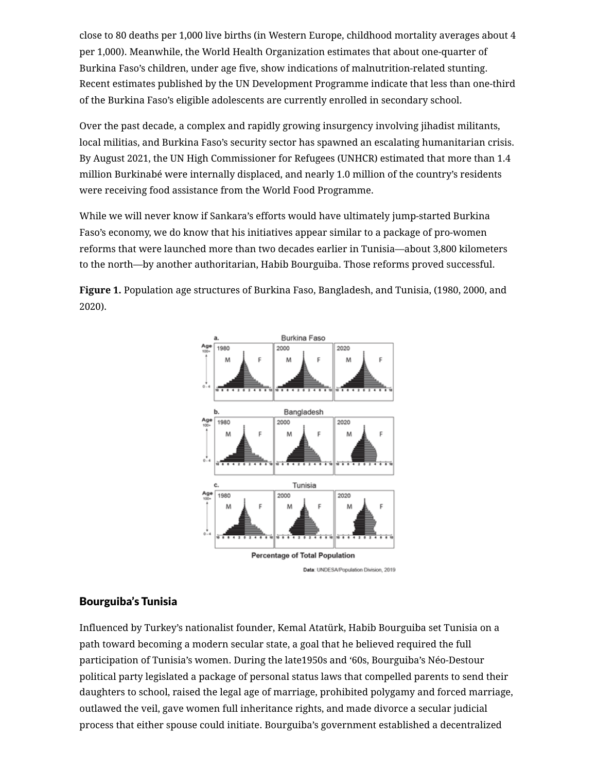close to 80 deaths per 1,000 live births (in Western Europe, childhood mortality averages about 4 per 1,000). Meanwhile, the World Health Organization estimates that about one-quarter of Burkina Faso's children, under age five, show indications of malnutrition-related stunting. Recent estimates published by the UN Development Programme indicate that less than one-third of the Burkina Faso's eligible adolescents are currently enrolled in secondary school.

Over the past decade, a complex and rapidly growing insurgency involving jihadist militants, local militias, and Burkina Faso's security sector has spawned an escalating humanitarian crisis. By August 2021, the [UN High Commissioner for Refugees](https://reporting.unhcr.org/sites/default/files/Burkina%20Faso%20Operational%20Update%20September-October%202021.pdf) (UNHCR) estimated that more than 1.4 million Burkinabé were internally displaced, and nearly 1.0 million of the country's residents were receiving food assistance from the [World Food Programme](https://api.godocs.wfp.org/api/documents/5dbbd7d956d34554ae1ea66031f58a5e/download/?_ga=2.95807580.1384680873.1637604906-1525990362.1637604906).

While we will never know if Sankara's efforts would have ultimately jump-started Burkina Faso's economy, we do know that his initiatives appear similar to a package of pro-women reforms that were launched more than two decades earlier in Tunisia—about 3,800 kilometers to the north—by another authoritarian, Habib Bourguiba. Those reforms proved successful.

**Figure 1.** Population age structures of Burkina Faso, Bangladesh, and Tunisia, (1980, 2000, and 2020).



#### Bourguiba's Tunisia

Influenced by Turkey's nationalist founder, Kemal Atatürk, Habib Bourguiba set Tunisia on a path toward becoming a modern secular state, a goal that he believed required the full participation of Tunisia's women. During the late1950s and '60s, Bourguiba's Néo-Destour political party legislated a package of personal status laws that compelled parents to send their daughters to school, raised the legal age of marriage, prohibited polygamy and forced marriage, outlawed the veil, gave women full inheritance rights, and made divorce a secular judicial process that either spouse could initiate. Bourguiba's government established a decentralized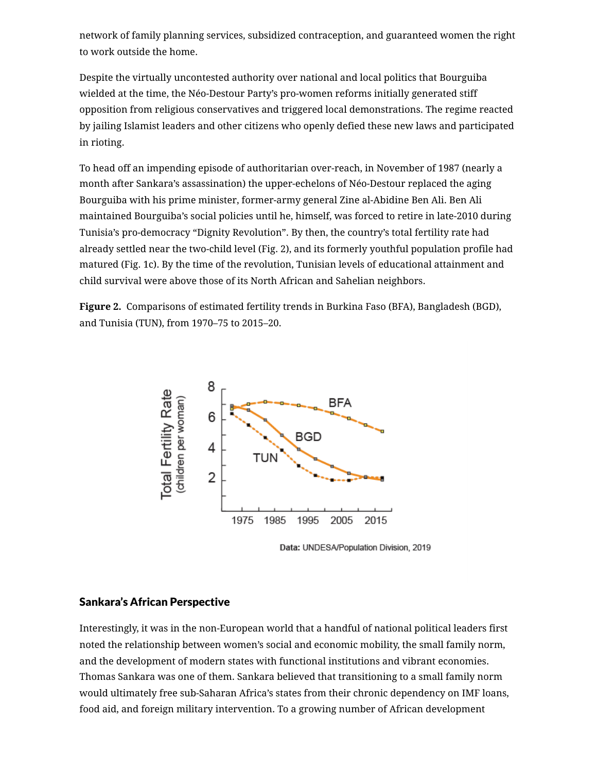network of family planning services, subsidized contraception, and guaranteed women the right to work outside the home.

Despite the virtually uncontested authority over national and local politics that Bourguiba wielded at the time, the Néo-Destour Party's pro-women reforms initially generated stiff opposition from religious conservatives and triggered local demonstrations. The regime reacted by jailing Islamist leaders and other citizens who openly defied these new laws and participated in rioting.

To head off an impending episode of authoritarian over-reach, in November of 1987 (nearly a month after Sankara's assassination) the upper-echelons of Néo-Destour replaced the aging Bourguiba with his prime minister, former-army general Zine al-Abidine Ben Ali. Ben Ali [maintained Bourguiba's social policies until he, himself, was forced to retire in late-2010 during](https://www.newsecuritybeat.org/2021/08/predicting-rise-demise-liberal-democracy/) Tunisia's pro-democracy "Dignity Revolution". By then, the country's total fertility rate had already settled near the two-child level (Fig. 2), and its formerly youthful population profile had matured (Fig. 1c). By the time of the revolution, Tunisian levels of educational attainment and child survival were above those of its North African and Sahelian neighbors.

**Figure 2.** Comparisons of estimated fertility trends in Burkina Faso (BFA), Bangladesh (BGD), and Tunisia (TUN), from 1970–75 to 2015–20.



Data: UNDESA/Population Division, 2019

#### Sankara's African Perspective

Interestingly, it was in the non-European world that a handful of national political leaders first noted the relationship between women's social and economic mobility, the small family norm, and the development of modern states with functional institutions and vibrant economies. Thomas Sankara was one of them. Sankara believed that transitioning to a small family norm would ultimately free sub-Saharan Africa's states from their chronic dependency on IMF loans, food aid, and foreign military intervention. To a growing number of African development